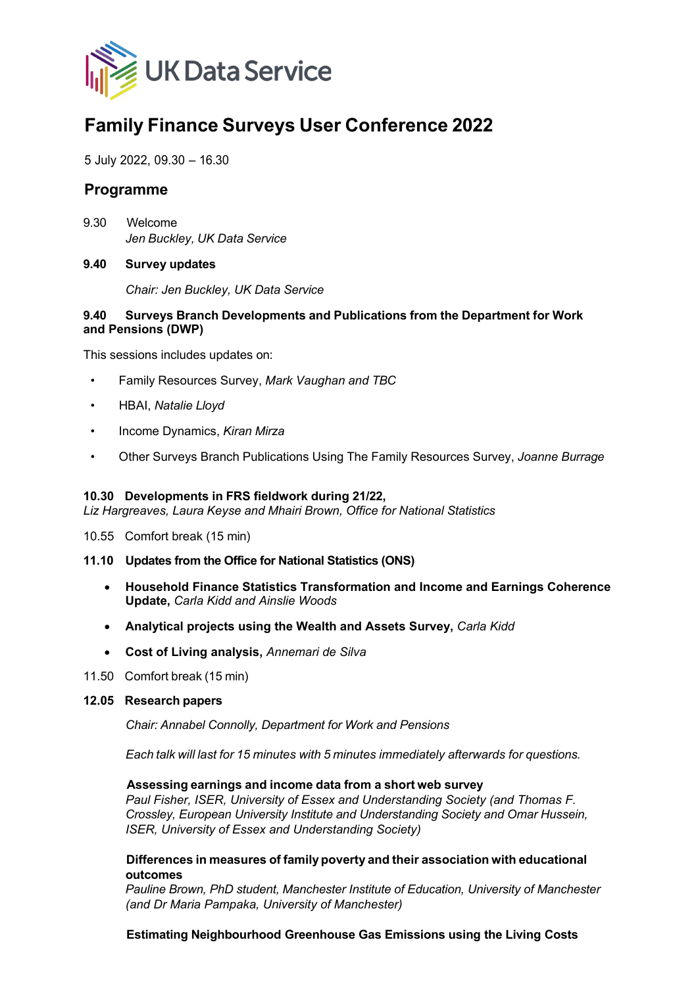

# **Family Finance Surveys User Conference 2022**

5 July 2022, 09.30 – 16.30

# **Programme**

9.30 Welcome *Jen Buckley, UK Data Service*

#### **9.40 Survey updates**

*Chair: Jen Buckley, UK Data Service*

#### **9.40 Surveys Branch Developments and Publications from the Department for Work and Pensions (DWP)**

This sessions includes updates on:

- Family Resources Survey, *Mark Vaughan and TBC*
- HBAI, *Natalie Lloyd*
- Income Dynamics, *Kiran Mirza*
- Other Surveys Branch Publications Using The Family Resources Survey, *Joanne Burrage*

# **10.30 Developments in FRS fieldwork during 21/22,**

*Liz Hargreaves, Laura Keyse and Mhairi Brown, Office for National Statistics*

10.55 Comfort break (15 min)

#### **11.10 Updates from the Office for National Statistics (ONS)**

- **Household Finance Statistics Transformation and Income and Earnings Coherence Update,** *Carla Kidd and Ainslie Woods*
- **Analytical projects using the Wealth and Assets Survey,** *Carla Kidd*
- **Cost of Living analysis,** *Annemari de Silva*
- 11.50 Comfort break (15 min)
- **12.05 Research papers**

*Chair: Annabel Connolly, Department for Work and Pensions*

*Each talk will last for 15 minutes with 5 minutes immediately afterwards for questions.*

#### **Assessing earnings and income data from a short web survey**

*Paul Fisher, ISER, University of Essex and Understanding Society (and Thomas F. Crossley, European University Institute and Understanding Society and Omar Hussein, ISER, University of Essex and Understanding Society)*

## **Differences in measures of family poverty and their association with educational outcomes**

*Pauline Brown, PhD student, Manchester Institute of Education, University of Manchester (and Dr Maria Pampaka, University of Manchester)*

#### **Estimating Neighbourhood Greenhouse Gas Emissions using the Living Costs**